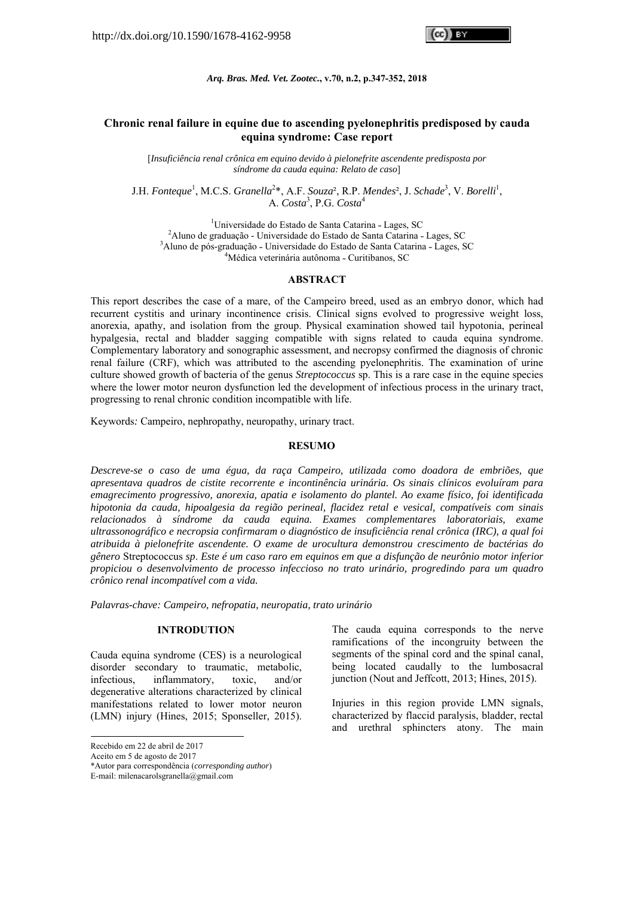*Arq. Bras. Med. Vet. Zootec.***, v.70, n.2, p.347-352, 2018** 

# **Chronic renal failure in equine due to ascending pyelonephritis predisposed by cauda equina syndrome: Case report**

[*Insuficiência renal crônica em equino devido à pielonefrite ascendente predisposta por síndrome da cauda equina: Relato de caso*]

J.H. Fonteque<sup>1</sup>, M.C.S. *Granella*<sup>2</sup>\*, A.F. *Souza*<sup>2</sup>, R.P. *Mendes*<sup>2</sup>, J. *Schade*<sup>3</sup>, V. *Borelli*<sup>1</sup>, A. *Costa*<sup>3</sup>, P.G. *Costa*<sup>4</sup>

<sup>1</sup>Universidade do Estado de Santa Catarina - Lages, SC<sup>2</sup> Aluno do graduação - Universidade de Fetado de Senta Catarina  $^{2}$ Aluno de graduação - Universidade do Estado de Santa Catarina - Lages, SC <sup>3</sup>Aluno de pós-graduação - Universidade do Estado de Santa Catarina - Lages, SC <sup>4</sup>Médica veterinária autônoma - Curitibanos, SC

# **ABSTRACT**

This report describes the case of a mare, of the Campeiro breed, used as an embryo donor, which had recurrent cystitis and urinary incontinence crisis. Clinical signs evolved to progressive weight loss, anorexia, apathy, and isolation from the group. Physical examination showed tail hypotonia, perineal hypalgesia, rectal and bladder sagging compatible with signs related to cauda equina syndrome. Complementary laboratory and sonographic assessment, and necropsy confirmed the diagnosis of chronic renal failure (CRF), which was attributed to the ascending pyelonephritis. The examination of urine culture showed growth of bacteria of the genus *Streptococcus* sp. This is a rare case in the equine species where the lower motor neuron dysfunction led the development of infectious process in the urinary tract, progressing to renal chronic condition incompatible with life.

Keywords*:* Campeiro, nephropathy, neuropathy, urinary tract.

#### **RESUMO**

*Descreve-se o caso de uma égua, da raça Campeiro, utilizada como doadora de embriões, que apresentava quadros de cistite recorrente e incontinência urinária. Os sinais clínicos evoluíram para emagrecimento progressivo, anorexia, apatia e isolamento do plantel. Ao exame físico, foi identificada hipotonia da cauda, hipoalgesia da região perineal, flacidez retal e vesical, compatíveis com sinais relacionados à síndrome da cauda equina. Exames complementares laboratoriais, exame ultrassonográfico e necropsia confirmaram o diagnóstico de insuficiência renal crônica (IRC), a qual foi atribuida à pielonefrite ascendente. O exame de urocultura demonstrou crescimento de bactérias do gênero* Streptococcus *sp*. *Este é um caso raro em equinos em que a disfunção de neurônio motor inferior propiciou o desenvolvimento de processo infeccioso no trato urinário, progredindo para um quadro crônico renal incompatível com a vida.* 

*Palavras-chave: Campeiro, nefropatia, neuropatia, trato urinário* 

#### **INTRODUTION**

Cauda equina syndrome (CES) is a neurological disorder secondary to traumatic, metabolic, infectious, inflammatory, toxic, and/or degenerative alterations characterized by clinical manifestations related to lower motor neuron (LMN) injury (Hines, 2015; Sponseller, 2015).

-

The cauda equina corresponds to the nerve ramifications of the incongruity between the segments of the spinal cord and the spinal canal, being located caudally to the lumbosacral junction (Nout and Jeffcott, 2013; Hines, 2015).

Injuries in this region provide LMN signals, characterized by flaccid paralysis, bladder, rectal and urethral sphincters atony. The main

Recebido em 22 de abril de 2017

Aceito em 5 de agosto de 2017

<sup>\*</sup>Autor para correspondência (*corresponding author*)

E-mail: milenacarolsgranella@gmail.com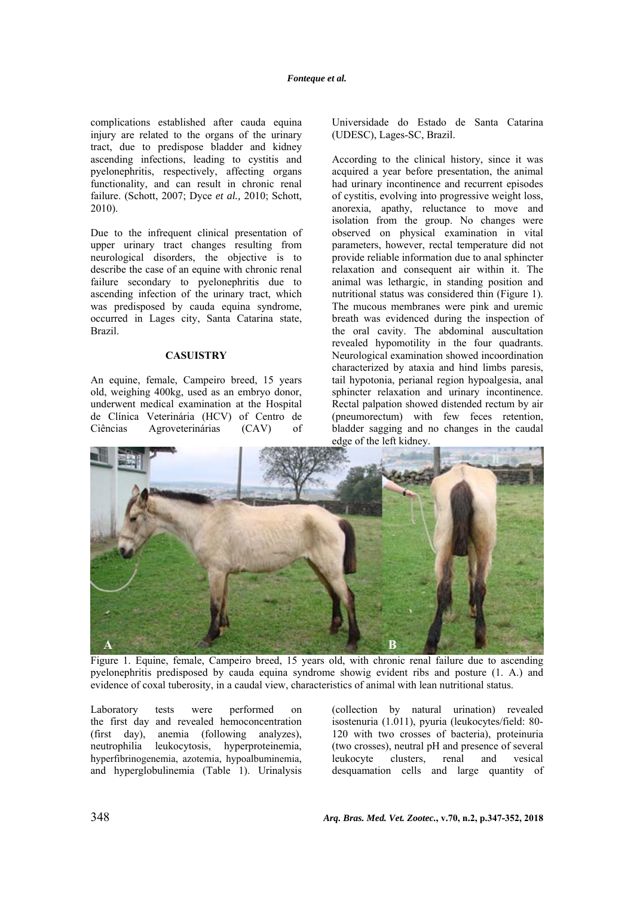complications established after cauda equina injury are related to the organs of the urinary tract, due to predispose bladder and kidney ascending infections, leading to cystitis and pyelonephritis, respectively, affecting organs functionality, and can result in chronic renal failure. (Schott, 2007; Dyce *et al.,* 2010; Schott, 2010).

Due to the infrequent clinical presentation of upper urinary tract changes resulting from neurological disorders, the objective is to describe the case of an equine with chronic renal failure secondary to pyelonephritis due to ascending infection of the urinary tract, which was predisposed by cauda equina syndrome, occurred in Lages city, Santa Catarina state, Brazil.

### **CASUISTRY**

An equine, female, Campeiro breed, 15 years old, weighing 400kg, used as an embryo donor, underwent medical examination at the Hospital de Clínica Veterinária (HCV) of Centro de Ciências Agroveterinárias (CAV) of Universidade do Estado de Santa Catarina (UDESC), Lages-SC, Brazil.

According to the clinical history, since it was acquired a year before presentation, the animal had urinary incontinence and recurrent episodes of cystitis, evolving into progressive weight loss, anorexia, apathy, reluctance to move and isolation from the group. No changes were observed on physical examination in vital parameters, however, rectal temperature did not provide reliable information due to anal sphincter relaxation and consequent air within it. The animal was lethargic, in standing position and nutritional status was considered thin (Figure 1). The mucous membranes were pink and uremic breath was evidenced during the inspection of the oral cavity. The abdominal auscultation revealed hypomotility in the four quadrants. Neurological examination showed incoordination characterized by ataxia and hind limbs paresis, tail hypotonia, perianal region hypoalgesia, anal sphincter relaxation and urinary incontinence. Rectal palpation showed distended rectum by air (pneumorectum) with few feces retention, bladder sagging and no changes in the caudal edge of the left kidney.



Figure 1. Equine, female, Campeiro breed, 15 years old, with chronic renal failure due to ascending pyelonephritis predisposed by cauda equina syndrome showig evident ribs and posture (1. A.) and evidence of coxal tuberosity, in a caudal view, characteristics of animal with lean nutritional status.

Laboratory tests were performed on the first day and revealed hemoconcentration (first day), anemia (following analyzes), neutrophilia leukocytosis, hyperproteinemia, hyperfibrinogenemia, azotemia, hypoalbuminemia, and hyperglobulinemia (Table 1). Urinalysis (collection by natural urination) revealed isostenuria (1.011), pyuria (leukocytes/field: 80- 120 with two crosses of bacteria), proteinuria (two crosses), neutral pH and presence of several leukocyte clusters, renal and vesical desquamation cells and large quantity of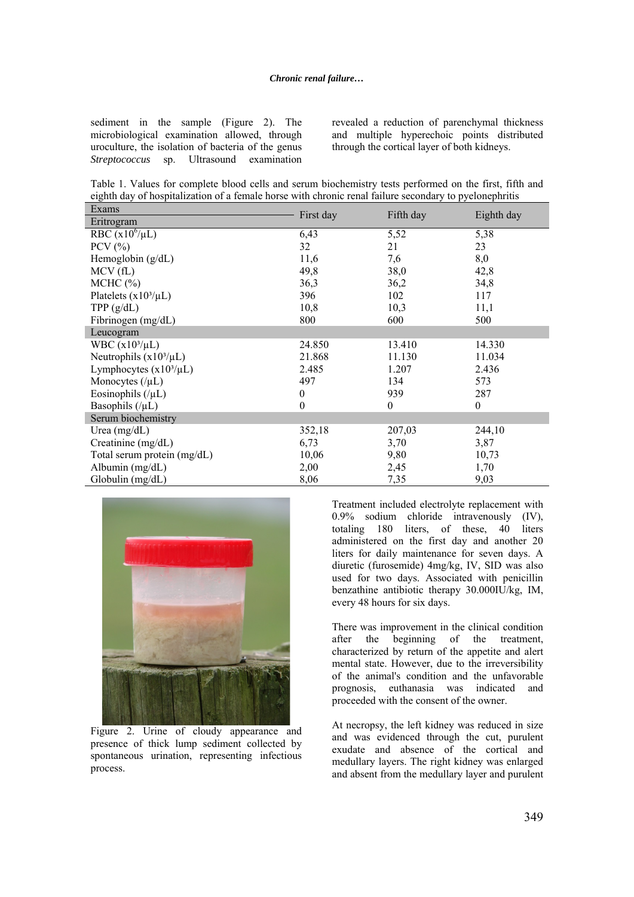sediment in the sample (Figure 2). The microbiological examination allowed, through uroculture, the isolation of bacteria of the genus *Streptococcus* sp. Ultrasound examination revealed a reduction of parenchymal thickness and multiple hyperechoic points distributed through the cortical layer of both kidneys.

Table 1. Values for complete blood cells and serum biochemistry tests performed on the first, fifth and eighth day of hospitalization of a female horse with chronic renal failure secondary to pyelonephritis

| Exams                       |           |              |              |
|-----------------------------|-----------|--------------|--------------|
| Eritrogram                  | First day | Fifth day    | Eighth day   |
| RBC $(x10^6/\mu L)$         | 6,43      | 5,52         | 5,38         |
| $PCV$ $(\%)$                | 32        | 21           | 23           |
| Hemoglobin $(g/dL)$         | 11,6      | 7,6          | 8,0          |
| MCV(fL)                     | 49,8      | 38,0         | 42,8         |
| MCHC (%)                    | 36,3      | 36,2         | 34,8         |
| Platelets $(x10^3/\mu L)$   | 396       | 102          | 117          |
| TPP(g/dL)                   | 10,8      | 10,3         | 11,1         |
| Fibrinogen (mg/dL)          | 800       | 600          | 500          |
| Leucogram                   |           |              |              |
| WBC $(x10^3/\mu L)$         | 24.850    | 13.410       | 14.330       |
| Neutrophils $(x10^3/\mu L)$ | 21.868    | 11.130       | 11.034       |
| Lymphocytes $(x10^3/\mu L)$ | 2.485     | 1.207        | 2.436        |
| Monocytes $(\mu L)$         | 497       | 134          | 573          |
| Eosinophils $(\mu L)$       | $\theta$  | 939          | 287          |
| Basophils $(\mu L)$         | $\theta$  | $\mathbf{0}$ | $\mathbf{0}$ |
| Serum biochemistry          |           |              |              |
| Urea $(mg/dL)$              | 352,18    | 207,03       | 244,10       |
| Creatinine (mg/dL)          | 6,73      | 3,70         | 3,87         |
| Total serum protein (mg/dL) | 10,06     | 9,80         | 10,73        |
| Albumin $(mg/dL)$           | 2,00      | 2,45         | 1,70         |
| Globulin (mg/dL)            | 8,06      | 7,35         | 9,03         |



Figure 2. Urine of cloudy appearance and presence of thick lump sediment collected by spontaneous urination, representing infectious process.

Treatment included electrolyte replacement with 0.9% sodium chloride intravenously (IV), totaling 180 liters, of these, 40 liters administered on the first day and another 20 liters for daily maintenance for seven days. A diuretic (furosemide) 4mg/kg, IV, SID was also used for two days. Associated with penicillin benzathine antibiotic therapy 30.000IU/kg, IM, every 48 hours for six days.

There was improvement in the clinical condition after the beginning of the treatment, characterized by return of the appetite and alert mental state. However, due to the irreversibility of the animal's condition and the unfavorable prognosis, euthanasia was indicated and proceeded with the consent of the owner.

At necropsy, the left kidney was reduced in size and was evidenced through the cut, purulent exudate and absence of the cortical and medullary layers. The right kidney was enlarged and absent from the medullary layer and purulent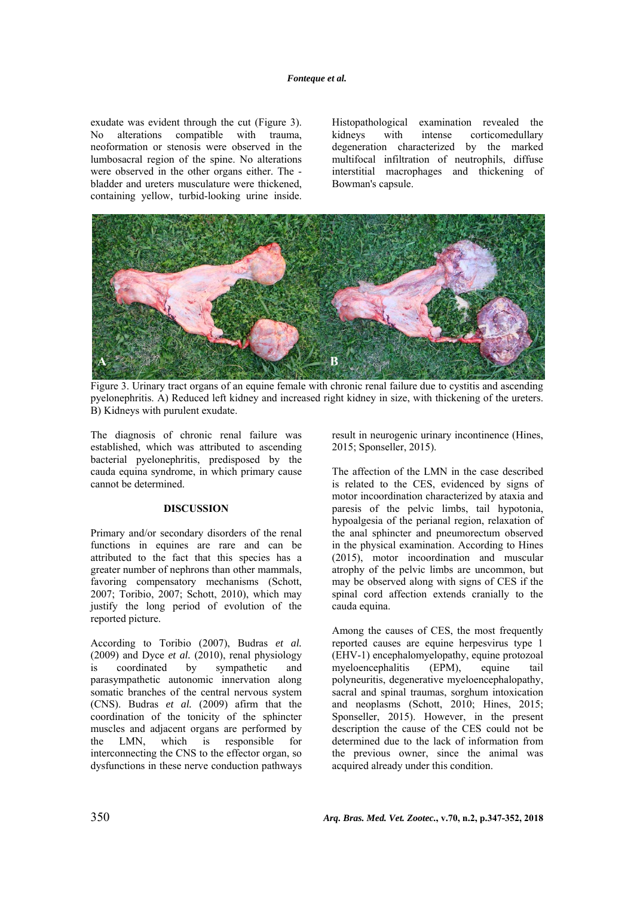exudate was evident through the cut (Figure 3). No alterations compatible with trauma, neoformation or stenosis were observed in the lumbosacral region of the spine. No alterations were observed in the other organs either. The bladder and ureters musculature were thickened, containing yellow, turbid-looking urine inside.

Histopathological examination revealed the kidneys with intense corticomedullary degeneration characterized by the marked multifocal infiltration of neutrophils, diffuse interstitial macrophages and thickening of Bowman's capsule.



Figure 3. Urinary tract organs of an equine female with chronic renal failure due to cystitis and ascending pyelonephritis. A) Reduced left kidney and increased right kidney in size, with thickening of the ureters. B) Kidneys with purulent exudate.

The diagnosis of chronic renal failure was established, which was attributed to ascending bacterial pyelonephritis, predisposed by the cauda equina syndrome, in which primary cause cannot be determined.

## **DISCUSSION**

Primary and/or secondary disorders of the renal functions in equines are rare and can be attributed to the fact that this species has a greater number of nephrons than other mammals, favoring compensatory mechanisms (Schott, 2007; Toribio, 2007; Schott, 2010), which may justify the long period of evolution of the reported picture.

According to Toribio (2007), Budras *et al.*  (2009) and Dyce *et al.* (2010), renal physiology is coordinated by sympathetic and parasympathetic autonomic innervation along somatic branches of the central nervous system (CNS). Budras *et al.* (2009) afirm that the coordination of the tonicity of the sphincter muscles and adjacent organs are performed by the LMN, which is responsible for interconnecting the CNS to the effector organ, so dysfunctions in these nerve conduction pathways result in neurogenic urinary incontinence (Hines, 2015; Sponseller, 2015).

The affection of the LMN in the case described is related to the CES, evidenced by signs of motor incoordination characterized by ataxia and paresis of the pelvic limbs, tail hypotonia, hypoalgesia of the perianal region, relaxation of the anal sphincter and pneumorectum observed in the physical examination. According to Hines (2015), motor incoordination and muscular atrophy of the pelvic limbs are uncommon, but may be observed along with signs of CES if the spinal cord affection extends cranially to the cauda equina.

Among the causes of CES, the most frequently reported causes are equine herpesvirus type 1 (EHV-1) encephalomyelopathy, equine protozoal myeloencephalitis (EPM), equine tail polyneuritis, degenerative myeloencephalopathy, sacral and spinal traumas, sorghum intoxication and neoplasms (Schott, 2010; Hines, 2015; Sponseller, 2015). However, in the present description the cause of the CES could not be determined due to the lack of information from the previous owner, since the animal was acquired already under this condition.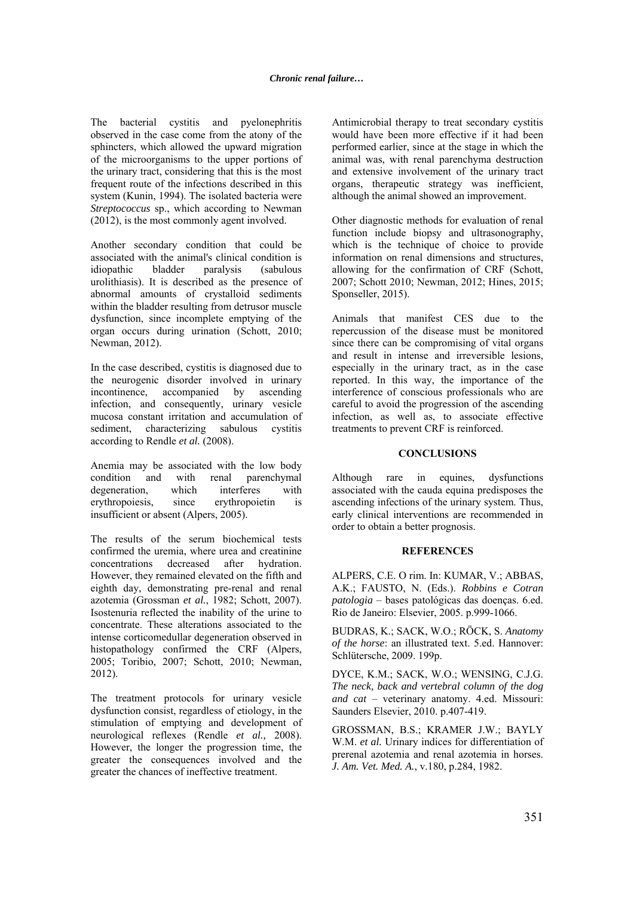The bacterial cystitis and pyelonephritis observed in the case come from the atony of the sphincters, which allowed the upward migration of the microorganisms to the upper portions of the urinary tract, considering that this is the most frequent route of the infections described in this system (Kunin, 1994). The isolated bacteria were *Streptococcus* sp., which according to Newman (2012), is the most commonly agent involved.

Another secondary condition that could be associated with the animal's clinical condition is idiopathic bladder paralysis (sabulous urolithiasis). It is described as the presence of abnormal amounts of crystalloid sediments within the bladder resulting from detrusor muscle dysfunction, since incomplete emptying of the organ occurs during urination (Schott, 2010; Newman, 2012).

In the case described, cystitis is diagnosed due to the neurogenic disorder involved in urinary incontinence, accompanied by ascending infection, and consequently, urinary vesicle mucosa constant irritation and accumulation of sediment, characterizing sabulous cystitis according to Rendle *et al.* (2008).

Anemia may be associated with the low body condition and with renal parenchymal degeneration, which interferes with erythropoiesis, since erythropoietin is insufficient or absent (Alpers, 2005).

The results of the serum biochemical tests confirmed the uremia, where urea and creatinine concentrations decreased after hydration. However, they remained elevated on the fifth and eighth day, demonstrating pre-renal and renal azotemia (Grossman *et al.*, 1982; Schott, 2007). Isostenuria reflected the inability of the urine to concentrate. These alterations associated to the intense corticomedullar degeneration observed in histopathology confirmed the CRF (Alpers, 2005; Toribio, 2007; Schott, 2010; Newman, 2012).

The treatment protocols for urinary vesicle dysfunction consist, regardless of etiology, in the stimulation of emptying and development of neurological reflexes (Rendle *et al.,* 2008). However, the longer the progression time, the greater the consequences involved and the greater the chances of ineffective treatment.

Antimicrobial therapy to treat secondary cystitis would have been more effective if it had been performed earlier, since at the stage in which the animal was, with renal parenchyma destruction and extensive involvement of the urinary tract organs, therapeutic strategy was inefficient, although the animal showed an improvement.

Other diagnostic methods for evaluation of renal function include biopsy and ultrasonography, which is the technique of choice to provide information on renal dimensions and structures, allowing for the confirmation of CRF (Schott, 2007; Schott 2010; Newman, 2012; Hines, 2015; Sponseller, 2015).

Animals that manifest CES due to the repercussion of the disease must be monitored since there can be compromising of vital organs and result in intense and irreversible lesions, especially in the urinary tract, as in the case reported. In this way, the importance of the interference of conscious professionals who are careful to avoid the progression of the ascending infection, as well as, to associate effective treatments to prevent CRF is reinforced.

### **CONCLUSIONS**

Although rare in equines, dysfunctions associated with the cauda equina predisposes the ascending infections of the urinary system. Thus, early clinical interventions are recommended in order to obtain a better prognosis.

#### **REFERENCES**

ALPERS, C.E. O rim. In: KUMAR, V.; ABBAS, A.K.; FAUSTO, N. (Eds.). *Robbins e Cotran patologia* – bases patológicas das doenças. 6.ed. Rio de Janeiro: Elsevier, 2005. p.999-1066.

BUDRAS, K.; SACK, W.O.; RÖCK, S. *Anatomy of the horse*: an illustrated text. 5.ed. Hannover: Schlütersche, 2009. 199p.

DYCE, K.M.; SACK, W.O.; WENSING, C.J.G. *The neck, back and vertebral column of the dog and cat* – veterinary anatomy. 4.ed. Missouri: Saunders Elsevier, 2010. p.407-419.

GROSSMAN, B.S.; KRAMER J.W.; BAYLY W.M. *et al.* Urinary indices for differentiation of prerenal azotemia and renal azotemia in horses. *J. Am. Vet. Med. A.*, v.180, p.284, 1982.